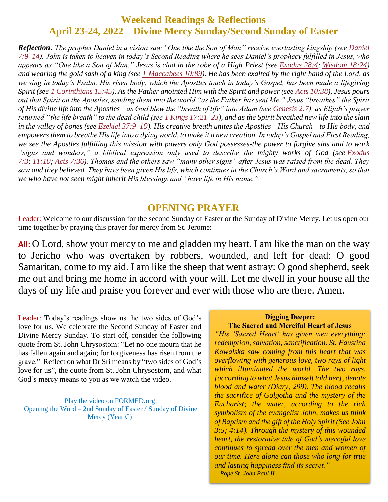## **Weekend Readings & Reflections April 23-24, 2022 – Divine Mercy Sunday/Second Sunday of Easter**

*Reflection: The prophet Daniel in a vision saw "One like the Son of Man" receive everlasting kingship (see [Daniel](https://biblia.com/bible/rsvce/Dan%207.9%E2%80%9314) [7:9–14\)](https://biblia.com/bible/rsvce/Dan%207.9%E2%80%9314). John is taken to heaven in today's Second Reading where he sees Daniel's prophecy fulfilled in Jesus, who appears as "One like a Son of Man." Jesus is clad in the robe of a High Priest (see [Exodus](https://biblia.com/bible/rsvce/Exod%2028.4) 28:4; [Wisdom](https://biblia.com/bible/rsvce/Wis%2018.24) 18:24) and wearing the gold sash of a king (see 1 [Maccabees](https://biblia.com/bible/rsvce/1%20Macc%2010.89) 10:89). He has been exalted by the right hand of the Lord, as we sing in today's Psalm. His risen body, which the Apostles touch in today's Gospel, has been made a lifegiving Spirit (see 1 [Corinthians](https://biblia.com/bible/rsvce/1%20Cor%2015.45) 15:45). As the Father anointed Him with the Spirit and power (see Acts [10:38\)](https://biblia.com/bible/rsvce/Acts%2010.38), Jesus pours out that Spirit on the Apostles, sending them into the world "as the Father has sent Me." Jesus "breathes" the Spirit of His divine life into the Apostles—as God blew the "breath of life" into Adam (see [Genesis](https://biblia.com/bible/rsvce/Gen%202.7) 2:7), as Elijah's prayer returned "the life breath" to the dead child (see 1 Kings [17:21–23\)](https://biblia.com/bible/rsvce/1%20Kings%2017.21%E2%80%9323), and as the Spirit breathed new life into the slain in the valley of bones (see Ezekiel [37:9–10\)](https://biblia.com/bible/rsvce/Ezek%2037.9%E2%80%9310). His creative breath unites the Apostles—His Church—to His body, and empowers them to breathe His life into a dying world, to make it a new creation. In today's Gospel and First Reading, we see the Apostles fulfilling this mission with powers only God possesses-the power to forgive sins and to work "signs and wonders," a biblical expression only used to describe the mighty works of God (see [Exodus](https://biblia.com/bible/rsvce/Exod%207.3) [7:3;](https://biblia.com/bible/rsvce/Exod%207.3) [11:10;](https://biblia.com/bible/rsvce/Exodus%2011.10) Acts [7:36\)](https://biblia.com/bible/rsvce/Acts%207.36). Thomas and the others saw "many other signs" after Jesus was raised from the dead. They saw and they believed. They have been given His life, which continues in the Church's Word and sacraments, so that we who have not seen might inherit His blessings and "have life in His name."*

#### **OPENING PRAYER**

Leader: Welcome to our discussion for the second Sunday of Easter or the Sunday of Divine Mercy. Let us open our time together by praying this prayer for mercy from St. Jerome:

**All:** O Lord, show your mercy to me and gladden my heart. I am like the man on the way to Jericho who was overtaken by robbers, wounded, and left for dead: O good Samaritan, come to my aid. I am like the sheep that went astray: O good shepherd, seek me out and bring me home in accord with your will. Let me dwell in your house all the days of my life and praise you forever and ever with those who are there. Amen.

Leader: Today's readings show us the two sides of God's love for us. We celebrate the Second Sunday of Easter and Divine Mercy Sunday. To start off, consider the following quote from St. John Chrysostom: "Let no one mourn that he has fallen again and again; for forgiveness has risen from the grave." Reflect on what Dr Sri means by "two sides of God's love for us", the quote from St. John Chrysostom, and what God's mercy means to you as we watch the video.

Play the video on FORMED.org: Opening the Word – [2nd Sunday of Easter](https://watch.formed.org/opening-the-word-1/season:3/videos/2nd-sunday-of-easter-divine-mercy-sunday-april-28-2019) / Sunday of Divine Mercy [\(Year C\)](https://watch.formed.org/opening-the-word-1/season:3/videos/2nd-sunday-of-easter-divine-mercy-sunday-april-28-2019)

#### **Digging Deeper:**

The Sacred and Merciful Heart of Jesus *"His 'Sacred Heart' has given men everything: redemption, salvation, sanctification. St. Faustina Kowalska saw coming from this heart that was overflowing with generous love, two rays of light which illuminated the world. The two rays, [according to what Jesus himself told her], denote blood and water (Diary, 299). The blood recalls the sacrifice of Golgotha and the mystery of the Eucharist; the water, according to the rich symbolism of the evangelist John, makes us think of Baptism and the gift of the Holy Spirit (See John 3:5; 4:14). Through the mystery of this wounded heart, the restorative tide of God's merciful love continues to spread over the men and women of our time. Here alone can those who long for true and lasting happiness find its secret." —Pope St. John Paul II*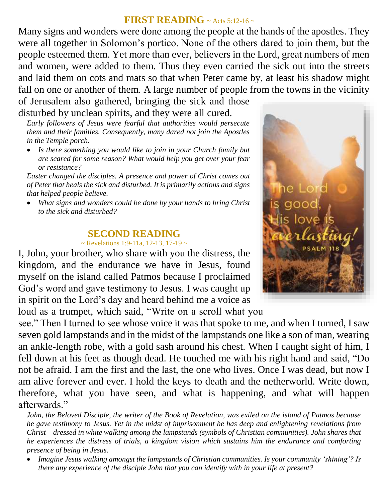# **FIRST READING** ~ Acts 5:12-16 ~

Many signs and wonders were done among the people at the hands of the apostles. They were all together in Solomon's portico. None of the others dared to join them, but the people esteemed them. Yet more than ever, believers in the Lord, great numbers of men and women, were added to them. Thus they even carried the sick out into the streets and laid them on cots and mats so that when Peter came by, at least his shadow might fall on one or another of them. A large number of people from the towns in the vicinity of Jerusalem also gathered, bringing the sick and those

disturbed by unclean spirits, and they were all cured. *Early followers of Jesus were fearful that authorities would persecute them and their families. Consequently, many dared not join the Apostles in the Temple porch.* 

 *Is there something you would like to join in your Church family but are scared for some reason? What would help you get over your fear or resistance?*

*Easter changed the disciples. A presence and power of Christ comes out of Peter that heals the sick and disturbed. It is primarily actions and signs that helped people believe.*

 *What signs and wonders could be done by your hands to bring Christ to the sick and disturbed?*

### **SECOND READING**

#### $\sim$  Revelations 1:9-11a, 12-13, 17-19  $\sim$

I, John, your brother, who share with you the distress, the kingdom, and the endurance we have in Jesus, found myself on the island called Patmos because I proclaimed God's word and gave testimony to Jesus. I was caught up in spirit on the Lord's day and heard behind me a voice as

loud as a trumpet, which said, "Write on a scroll what you see." Then I turned to see whose voice it was that spoke to me, and when I turned, I saw seven gold lampstands and in the midst of the lampstands one like a son of man, wearing an ankle-length robe, with a gold sash around his chest. When I caught sight of him, I fell down at his feet as though dead. He touched me with his right hand and said, "Do not be afraid. I am the first and the last, the one who lives. Once I was dead, but now I am alive forever and ever. I hold the keys to death and the netherworld. Write down, therefore, what you have seen, and what is happening, and what will happen afterwards."

*John, the Beloved Disciple, the writer of the Book of Revelation, was exiled on the island of Patmos because he gave testimony to Jesus. Yet in the midst of imprisonment he has deep and enlightening revelations from Christ – dressed in white walking among the lampstands (symbols of Christian communities). John shares that he experiences the distress of trials, a kingdom vision which sustains him the endurance and comforting presence of being in Jesus.* 

 *Imagine Jesus walking amongst the lampstands of Christian communities. Is your community 'shining'? Is there any experience of the disciple John that you can identify with in your life at present?*

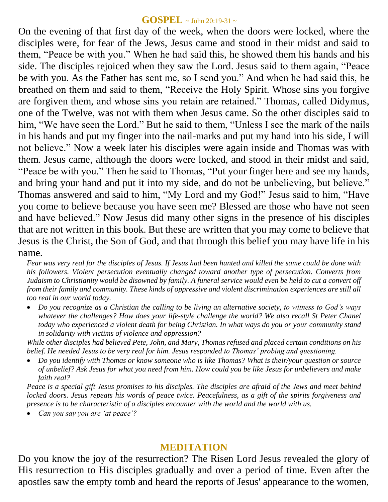#### **GOSPEL** ~ John 20:19-31 <sup>~</sup>

On the evening of that first day of the week, when the doors were locked, where the disciples were, for fear of the Jews, Jesus came and stood in their midst and said to them, "Peace be with you." When he had said this, he showed them his hands and his side. The disciples rejoiced when they saw the Lord. Jesus said to them again, "Peace be with you. As the Father has sent me, so I send you." And when he had said this, he breathed on them and said to them, "Receive the Holy Spirit. Whose sins you forgive are forgiven them, and whose sins you retain are retained." Thomas, called Didymus, one of the Twelve, was not with them when Jesus came. So the other disciples said to him, "We have seen the Lord." But he said to them, "Unless I see the mark of the nails in his hands and put my finger into the nail-marks and put my hand into his side, I will not believe." Now a week later his disciples were again inside and Thomas was with them. Jesus came, although the doors were locked, and stood in their midst and said, "Peace be with you." Then he said to Thomas, "Put your finger here and see my hands, and bring your hand and put it into my side, and do not be unbelieving, but believe." Thomas answered and said to him, "My Lord and my God!" Jesus said to him, "Have you come to believe because you have seen me? Blessed are those who have not seen and have believed." Now Jesus did many other signs in the presence of his disciples that are not written in this book. But these are written that you may come to believe that Jesus is the Christ, the Son of God, and that through this belief you may have life in his name.

*Fear was very real for the disciples of Jesus. If Jesus had been hunted and killed the same could be done with his followers. Violent persecution eventually changed toward another type of persecution. Converts from Judaism to Christianity would be disowned by family. A funeral service would even be held to cut a convert off from their family and community. These kinds of oppressive and violent discrimination experiences are still all too real in our world today.* 

 *Do you recognize as a Christian the calling to be living an alternative society, to witness to God's ways*  whatever the challenges? How does your life-style challenge the world? We also recall St Peter Chanel *today who experienced a violent death for being Christian. In what ways do you or your community stand in solidarity with victims of violence and oppression?*

*While other disciples had believed Pete, John, and Mary, Thomas refused and placed certain conditions on his belief. He needed Jesus to be very real for him. Jesus responded to Thomas' probing and questioning.* 

 *Do you identify with Thomas or know someone who is like Thomas? What is their/your question or source of unbelief? Ask Jesus for what you need from him. How could you be like Jesus for unbelievers and make faith real?*

*Peace is a special gift Jesus promises to his disciples. The disciples are afraid of the Jews and meet behind locked doors. Jesus repeats his words of peace twice. Peacefulness, as a gift of the spirits forgiveness and presence is to be characteristic of a disciples encounter with the world and the world with us.* 

*Can you say you are ʻat peace'?*

### **MEDITATION**

Do you know the joy of the resurrection? The Risen Lord Jesus revealed the glory of His resurrection to His disciples gradually and over a period of time. Even after the apostles saw the empty tomb and heard the reports of Jesus' appearance to the women,